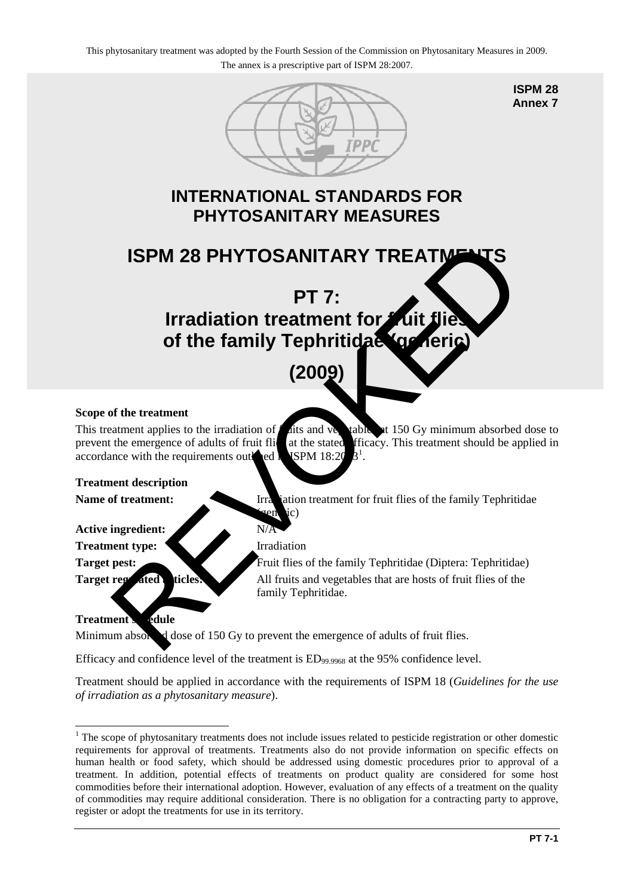

**ISPM 28 Annex 7**

## **INTERNATIONAL STANDARDS FOR PHYTOSANITARY MEASURES**

# **ISPM 28 PHYTOSANITARY TREATMENTS**

# **PT 7: Irradiation treatment for** *f* of the family Tephritidae (get **ISPM 28 PHYT[O](#page-0-0)SANITARY TREATMENTS<br>
PT 7:<br>
Irradiation treatment for Cuit flies<br>
of the family Tephriticial and the condense of adults of finit flies<br>
(2009)<br>
of the treatment<br>
the mergence of adults of finit flit at the s**

# **(2009)**

#### **Scope of the treatment**

This treatment applies to the irradiation of  $f$  at the value of  $\mathbf{r}$  ables at 150 Gy minimum absorbed dose to prevent the emergence of adults of fruit flication at the stated efficacy. This treatment should be applied in accordance with the requirements outlined in ISPM  $18:20$ .

#### **Treatment description**

Name of treatment: Irradiation treatment for fruit flies of the family Tephritidae

#### Active ingredient: N/A

**Treatment type:** Irradiation

 $\epsilon$  (send ic)

**Target pest:** Fruit flies of the family Tephritidae (Diptera: Tephritidae) **Target regulated articles:** All fruits and vegetables that are hosts of fruit flies of the family Tephritidae.

### **Treatment schedule**

Minimum absorbed dose of 150 Gy to prevent the emergence of adults of fruit flies.

Efficacy and confidence level of the treatment is  $ED_{99,9968}$  at the 95% confidence level.

Treatment should be applied in accordance with the requirements of ISPM 18 (*Guidelines for the use of irradiation as a phytosanitary measure*).

<span id="page-0-0"></span><sup>&</sup>lt;u>.</u> <sup>1</sup> The scope of phytosanitary treatments does not include issues related to pesticide registration or other domestic requirements for approval of treatments. Treatments also do not provide information on specific effects on human health or food safety, which should be addressed using domestic procedures prior to approval of a treatment. In addition, potential effects of treatments on product quality are considered for some host commodities before their international adoption. However, evaluation of any effects of a treatment on the quality of commodities may require additional consideration. There is no obligation for a contracting party to approve, register or adopt the treatments for use in its territory.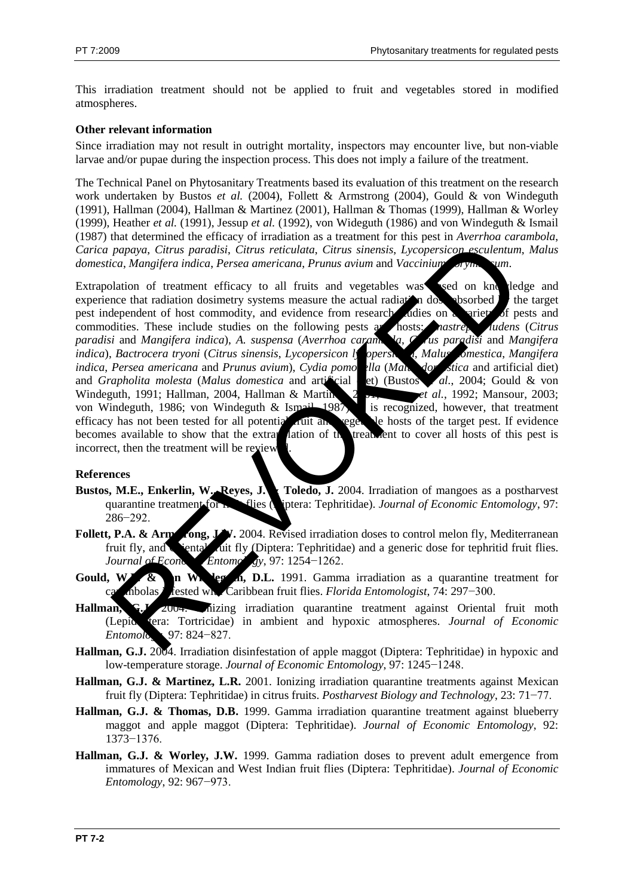This irradiation treatment should not be applied to fruit and vegetables stored in modified atmospheres.

#### **Other relevant information**

Since irradiation may not result in outright mortality, inspectors may encounter live, but non-viable larvae and/or pupae during the inspection process. This does not imply a failure of the treatment.

The Technical Panel on Phytosanitary Treatments based its evaluation of this treatment on the research work undertaken by Bustos *et al.* (2004), Follett & Armstrong (2004), Gould & von Windeguth (1991), Hallman (2004), Hallman & Martinez (2001), Hallman & Thomas (1999), Hallman & Worley (1999), Heather *et al.* (1991), Jessup *et al.* (1992), von Wideguth (1986) and von Windeguth & Ismail (1987) that determined the efficacy of irradiation as a treatment for this pest in *Averrhoa carambola*, *Carica papaya*, *Citrus paradisi*, *Citrus reticulata*, *Citrus sinensis*, *Lycopersicon esculentum*, *Malus domestica*, *Mangifera indica*, *Persea americana*, *Prunus avium* and *Vaccinium corymbosum*.

Extrapolation of treatment efficacy to all fruits and vegetables was sed on knowledge and experience that radiation dosimetry systems measure the actual radiation dose absorbed  $\mathbb{R}^n$  the target pest independent of host commodity, and evidence from research studies on a variety of pests and commodities. These include studies on the following pests and hosts: *anastrepha ludens* (*Citrus paradisi* and *Mangifera indica*), A. *suspensa (Averrhoa caramis la, Chus paradisi* and *Mangifera paradisi* and *Mangifera indica*), *A. suspensa* (*Averrhoa carambola*, *Citrus paradisi* and *Mangifera indica*), *Bactrocera tryoni* (*Citrus sinensis*, *Lycopersicon ly opersicum*, *Malus omestica*, *Mangifera indica*, *Persea americana* and *Prunus avium*), *Cydia pomonella* (*Malus domestica* and artificial diet) and *Grapholita molesta* (*Malus domestica* and artificial et) (Bustos *al.*, 2004; Gould & von Windeguth, 1991; Hallman, 2004, Hallman & Martinez, 2003; *et al.*, 1992; Mansour, 2003; von Windeguth, 1986; von Windeguth & Ismail 1987, is recognized, however, that treatment von Windeguth, 1986; von Windeguth & Ismail, 1987 efficacy has not been tested for all potential  $\overline{a}$  full and vegetable hosts of the target pest. If evidence becomes available to show that the extrapolation of the treatment to cover all hosts of this pest is incorrect, then the treatment will be review papaya, Climis paradisi, Climis reticulata, Climis sinensis, Lycopersicon esculentum<br>ca, Manglera indica, Persea americana, Prunus avium and Vaccinium anym.<br>
Income and Manglera indica, Persea americana, Prunus avium and V

#### **References**

- Bustos, M.E., Enkerlin, W. Reyes, J. **Toledo**, J. 2004. Irradiation of mangoes as a postharvest quarantine treatment for **fruit flies** (pitera: Tephritidae). *Journal of Economic Entomology*, 97: 286−292.
- **Follett, P.A. & Armstrong, J.W.** 2004. Revised irradiation doses to control melon fly, Mediterranean fruit fly, and **Oriental fluit fly (Diptera: Tephritidae)** and a generic dose for tephritid fruit flies. *Journal of Economic Entomology*, 97: 1254–1262.
- Gould, W.P. & n Windeguin, D.L. 1991. Gamma irradiation as a quarantine treatment for carambolas infested with Caribbean fruit flies. *Florida Entomologist*, 74: 297−300.
- Hallman, G.J. 200<del>4.</del> Inizing irradiation quarantine treatment against Oriental fruit moth (Lepidoptera: Tortricidae) in ambient and hypoxic atmospheres. *Journal of Economic Entomology*, 97: 824−827.
- **Hallman, G.J.** 2004. Irradiation disinfestation of apple maggot (Diptera: Tephritidae) in hypoxic and low-temperature storage. *Journal of Economic Entomology*, 97: 1245−1248.
- **Hallman, G.J. & Martinez, L.R.** 2001. Ionizing irradiation quarantine treatments against Mexican fruit fly (Diptera: Tephritidae) in citrus fruits. *Postharvest Biology and Technology*, 23: 71−77.
- **Hallman, G.J. & Thomas, D.B.** 1999. Gamma irradiation quarantine treatment against blueberry maggot and apple maggot (Diptera: Tephritidae). *Journal of Economic Entomology*, 92: 1373−1376.
- **Hallman, G.J. & Worley, J.W.** 1999. Gamma radiation doses to prevent adult emergence from immatures of Mexican and West Indian fruit flies (Diptera: Tephritidae). *Journal of Economic Entomology*, 92: 967−973.